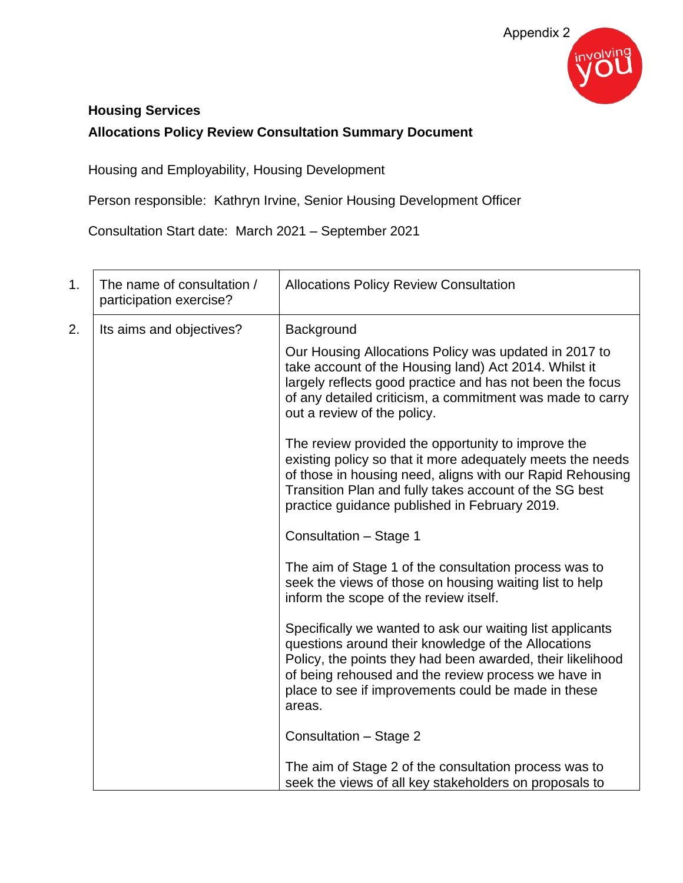

### **Housing Services**

## **Allocations Policy Review Consultation Summary Document**

Housing and Employability, Housing Development

Person responsible: Kathryn Irvine, Senior Housing Development Officer

Consultation Start date: March 2021 – September 2021

| 1. | The name of consultation /<br>participation exercise? | <b>Allocations Policy Review Consultation</b>                                                                                                                                                                                                                                                          |
|----|-------------------------------------------------------|--------------------------------------------------------------------------------------------------------------------------------------------------------------------------------------------------------------------------------------------------------------------------------------------------------|
| 2. | Its aims and objectives?                              | Background                                                                                                                                                                                                                                                                                             |
|    |                                                       | Our Housing Allocations Policy was updated in 2017 to<br>take account of the Housing land) Act 2014. Whilst it<br>largely reflects good practice and has not been the focus<br>of any detailed criticism, a commitment was made to carry<br>out a review of the policy.                                |
|    |                                                       | The review provided the opportunity to improve the<br>existing policy so that it more adequately meets the needs<br>of those in housing need, aligns with our Rapid Rehousing<br>Transition Plan and fully takes account of the SG best<br>practice guidance published in February 2019.               |
|    |                                                       | Consultation - Stage 1                                                                                                                                                                                                                                                                                 |
|    |                                                       | The aim of Stage 1 of the consultation process was to<br>seek the views of those on housing waiting list to help<br>inform the scope of the review itself.                                                                                                                                             |
|    |                                                       | Specifically we wanted to ask our waiting list applicants<br>questions around their knowledge of the Allocations<br>Policy, the points they had been awarded, their likelihood<br>of being rehoused and the review process we have in<br>place to see if improvements could be made in these<br>areas. |
|    |                                                       | Consultation - Stage 2                                                                                                                                                                                                                                                                                 |
|    |                                                       | The aim of Stage 2 of the consultation process was to<br>seek the views of all key stakeholders on proposals to                                                                                                                                                                                        |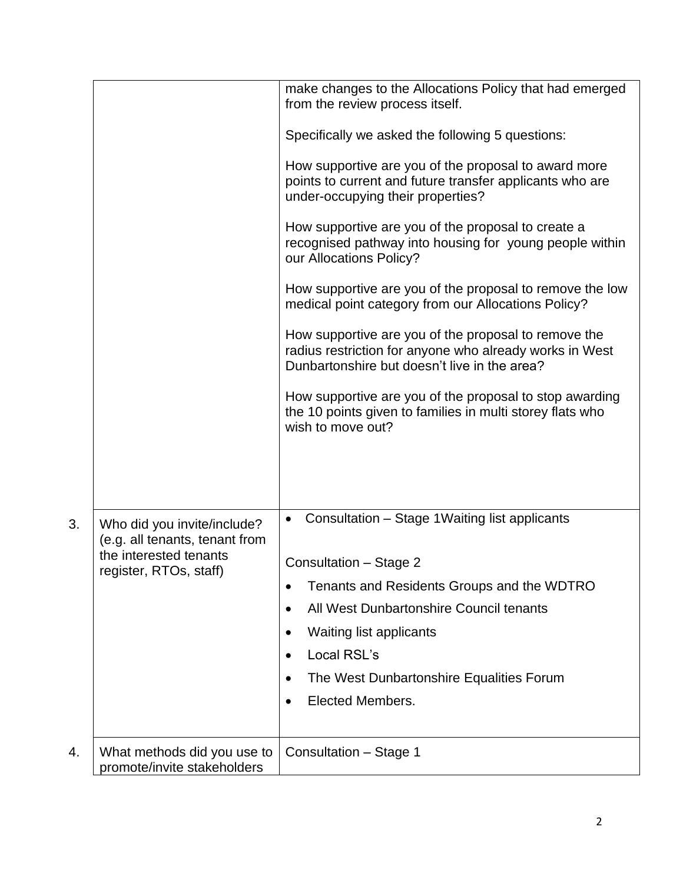|    |                                                               | make changes to the Allocations Policy that had emerged<br>from the review process itself.                                                                      |
|----|---------------------------------------------------------------|-----------------------------------------------------------------------------------------------------------------------------------------------------------------|
|    |                                                               | Specifically we asked the following 5 questions:                                                                                                                |
|    |                                                               | How supportive are you of the proposal to award more<br>points to current and future transfer applicants who are<br>under-occupying their properties?           |
|    |                                                               | How supportive are you of the proposal to create a<br>recognised pathway into housing for young people within<br>our Allocations Policy?                        |
|    |                                                               | How supportive are you of the proposal to remove the low<br>medical point category from our Allocations Policy?                                                 |
|    |                                                               | How supportive are you of the proposal to remove the<br>radius restriction for anyone who already works in West<br>Dunbartonshire but doesn't live in the area? |
|    |                                                               | How supportive are you of the proposal to stop awarding<br>the 10 points given to families in multi storey flats who<br>wish to move out?                       |
|    |                                                               |                                                                                                                                                                 |
| 3. | Who did you invite/include?<br>(e.g. all tenants, tenant from | Consultation - Stage 1 Waiting list applicants<br>$\bullet$                                                                                                     |
|    | the interested tenants<br>register, RTOs, staff)              | Consultation - Stage 2                                                                                                                                          |
|    |                                                               | Tenants and Residents Groups and the WDTRO<br>$\bullet$                                                                                                         |
|    |                                                               | All West Dunbartonshire Council tenants<br>٠                                                                                                                    |
|    |                                                               | <b>Waiting list applicants</b><br>٠                                                                                                                             |
|    |                                                               | Local RSL's                                                                                                                                                     |
|    |                                                               | The West Dunbartonshire Equalities Forum                                                                                                                        |
|    |                                                               | Elected Members.<br>$\bullet$                                                                                                                                   |
| 4. | What methods did you use to<br>promote/invite stakeholders    | Consultation - Stage 1                                                                                                                                          |
|    |                                                               |                                                                                                                                                                 |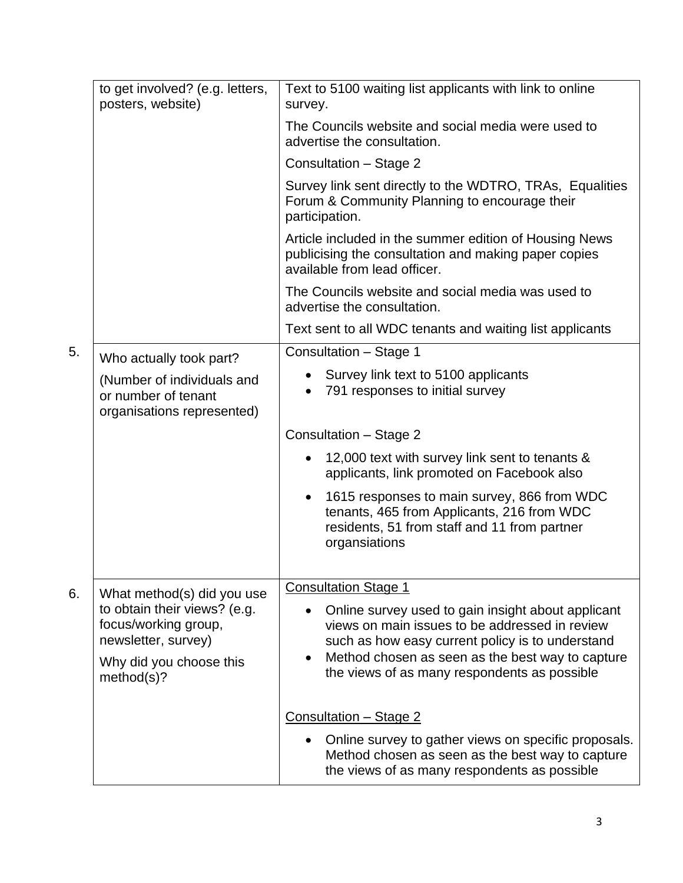|    | to get involved? (e.g. letters,<br>posters, website)                                                                 | Text to 5100 waiting list applicants with link to online<br>survey.                                                                                                                                                                                                       |
|----|----------------------------------------------------------------------------------------------------------------------|---------------------------------------------------------------------------------------------------------------------------------------------------------------------------------------------------------------------------------------------------------------------------|
|    |                                                                                                                      | The Councils website and social media were used to<br>advertise the consultation.                                                                                                                                                                                         |
|    |                                                                                                                      | Consultation - Stage 2                                                                                                                                                                                                                                                    |
|    |                                                                                                                      | Survey link sent directly to the WDTRO, TRAs, Equalities<br>Forum & Community Planning to encourage their<br>participation.                                                                                                                                               |
|    |                                                                                                                      | Article included in the summer edition of Housing News<br>publicising the consultation and making paper copies<br>available from lead officer.                                                                                                                            |
|    |                                                                                                                      | The Councils website and social media was used to<br>advertise the consultation.                                                                                                                                                                                          |
|    |                                                                                                                      | Text sent to all WDC tenants and waiting list applicants                                                                                                                                                                                                                  |
| 5. | Who actually took part?                                                                                              | Consultation - Stage 1                                                                                                                                                                                                                                                    |
|    | (Number of individuals and<br>or number of tenant<br>organisations represented)                                      | • Survey link text to 5100 applicants<br>791 responses to initial survey<br>$\bullet$                                                                                                                                                                                     |
|    |                                                                                                                      | Consultation - Stage 2                                                                                                                                                                                                                                                    |
|    |                                                                                                                      | 12,000 text with survey link sent to tenants &<br>applicants, link promoted on Facebook also                                                                                                                                                                              |
|    |                                                                                                                      | 1615 responses to main survey, 866 from WDC<br>$\bullet$<br>tenants, 465 from Applicants, 216 from WDC<br>residents, 51 from staff and 11 from partner<br>organsiations                                                                                                   |
| 6. | What method(s) did you use                                                                                           | <b>Consultation Stage 1</b>                                                                                                                                                                                                                                               |
|    | to obtain their views? (e.g.<br>focus/working group,<br>newsletter, survey)<br>Why did you choose this<br>method(s)? | Online survey used to gain insight about applicant<br>views on main issues to be addressed in review<br>such as how easy current policy is to understand<br>Method chosen as seen as the best way to capture<br>$\bullet$<br>the views of as many respondents as possible |
|    |                                                                                                                      | Consultation - Stage 2                                                                                                                                                                                                                                                    |
|    |                                                                                                                      | Online survey to gather views on specific proposals.<br>$\bullet$<br>Method chosen as seen as the best way to capture<br>the views of as many respondents as possible                                                                                                     |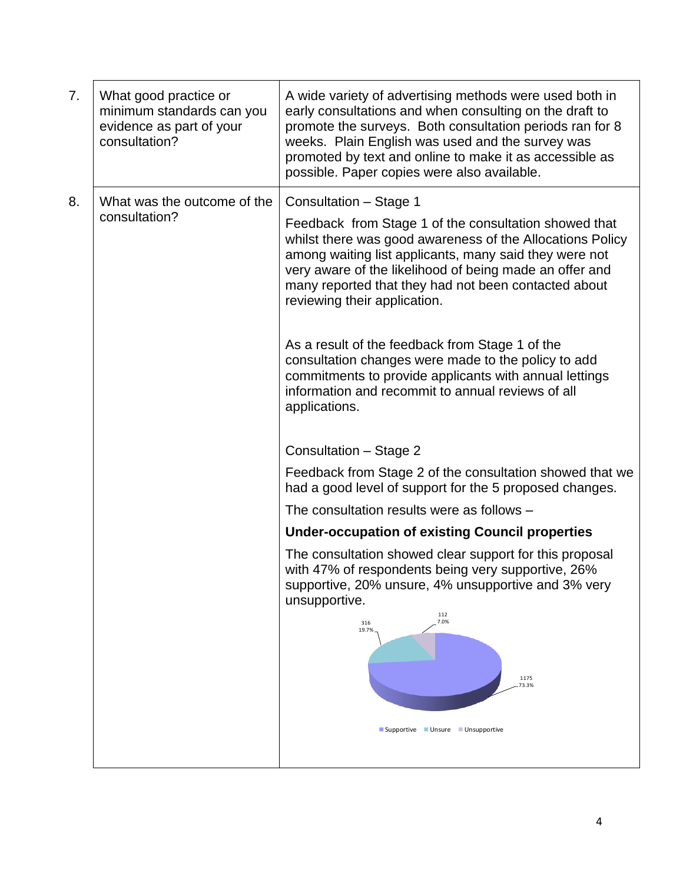| 7. | What good practice or<br>minimum standards can you<br>evidence as part of your<br>consultation? | A wide variety of advertising methods were used both in<br>early consultations and when consulting on the draft to<br>promote the surveys. Both consultation periods ran for 8<br>weeks. Plain English was used and the survey was<br>promoted by text and online to make it as accessible as<br>possible. Paper copies were also available. |
|----|-------------------------------------------------------------------------------------------------|----------------------------------------------------------------------------------------------------------------------------------------------------------------------------------------------------------------------------------------------------------------------------------------------------------------------------------------------|
| 8. | What was the outcome of the<br>consultation?                                                    | Consultation - Stage 1                                                                                                                                                                                                                                                                                                                       |
|    |                                                                                                 | Feedback from Stage 1 of the consultation showed that<br>whilst there was good awareness of the Allocations Policy<br>among waiting list applicants, many said they were not<br>very aware of the likelihood of being made an offer and<br>many reported that they had not been contacted about<br>reviewing their application.              |
|    |                                                                                                 | As a result of the feedback from Stage 1 of the<br>consultation changes were made to the policy to add<br>commitments to provide applicants with annual lettings<br>information and recommit to annual reviews of all<br>applications.                                                                                                       |
|    |                                                                                                 | Consultation - Stage 2                                                                                                                                                                                                                                                                                                                       |
|    |                                                                                                 | Feedback from Stage 2 of the consultation showed that we<br>had a good level of support for the 5 proposed changes.                                                                                                                                                                                                                          |
|    |                                                                                                 | The consultation results were as follows -                                                                                                                                                                                                                                                                                                   |
|    |                                                                                                 | <b>Under-occupation of existing Council properties</b>                                                                                                                                                                                                                                                                                       |
|    |                                                                                                 | The consultation showed clear support for this proposal<br>with 47% of respondents being very supportive, 26%<br>supportive, 20% unsure, 4% unsupportive and 3% very<br>unsupportive.                                                                                                                                                        |
|    |                                                                                                 | 112<br>7.0%<br>316<br>19.7%<br>1175<br>73.3%                                                                                                                                                                                                                                                                                                 |
|    |                                                                                                 | Supportive Unsure Unsupportive                                                                                                                                                                                                                                                                                                               |
|    |                                                                                                 |                                                                                                                                                                                                                                                                                                                                              |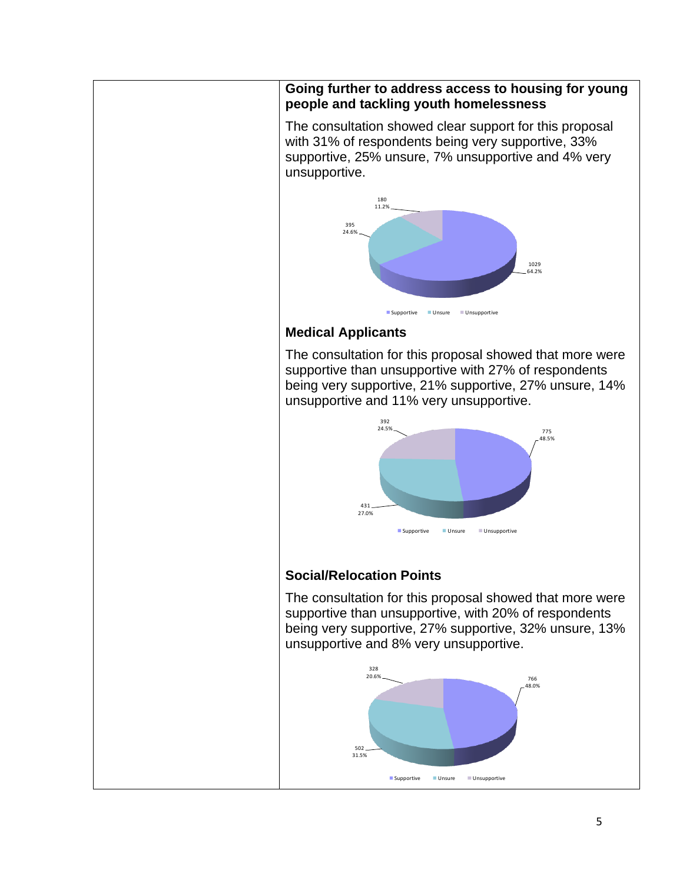#### **Going further to address access to housing for young people and tackling youth homelessness**

The consultation showed clear support for this proposal with 31% of respondents being very supportive, 33% supportive, 25% unsure, 7% unsupportive and 4% very unsupportive.



## **Medical Applicants**

The consultation for this proposal showed that more were supportive than unsupportive with 27% of respondents being very supportive, 21% supportive, 27% unsure, 14% unsupportive and 11% very unsupportive.



# **Social/Relocation Points**

The consultation for this proposal showed that more were supportive than unsupportive, with 20% of respondents being very supportive, 27% supportive, 32% unsure, 13% unsupportive and 8% very unsupportive.

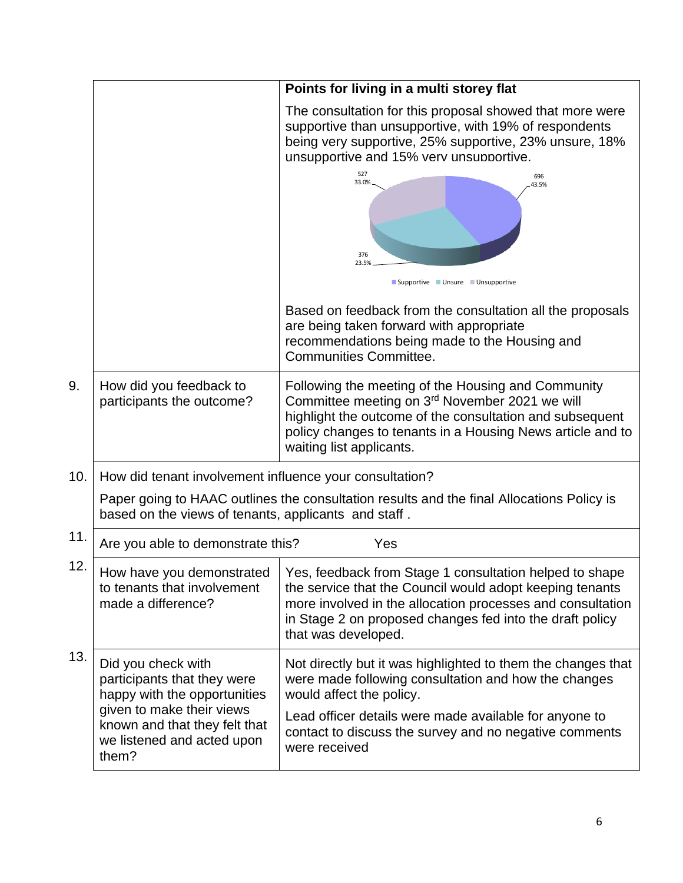|     |                                                                                                                                                                                        | Points for living in a multi storey flat                                                                                                                                                                                                                                              |  |
|-----|----------------------------------------------------------------------------------------------------------------------------------------------------------------------------------------|---------------------------------------------------------------------------------------------------------------------------------------------------------------------------------------------------------------------------------------------------------------------------------------|--|
|     |                                                                                                                                                                                        | The consultation for this proposal showed that more were<br>supportive than unsupportive, with 19% of respondents<br>being very supportive, 25% supportive, 23% unsure, 18%<br>unsupportive and 15% verv unsupportive.                                                                |  |
|     |                                                                                                                                                                                        | 527<br>696<br>33.0%<br>43.5%<br>376<br>23.5%<br>Supportive Unsure Unsupportive                                                                                                                                                                                                        |  |
|     |                                                                                                                                                                                        | Based on feedback from the consultation all the proposals<br>are being taken forward with appropriate<br>recommendations being made to the Housing and<br>Communities Committee.                                                                                                      |  |
| 9.  | How did you feedback to<br>participants the outcome?                                                                                                                                   | Following the meeting of the Housing and Community<br>Committee meeting on 3rd November 2021 we will<br>highlight the outcome of the consultation and subsequent<br>policy changes to tenants in a Housing News article and to<br>waiting list applicants.                            |  |
| 10. | How did tenant involvement influence your consultation?                                                                                                                                |                                                                                                                                                                                                                                                                                       |  |
|     | Paper going to HAAC outlines the consultation results and the final Allocations Policy is<br>based on the views of tenants, applicants and staff.                                      |                                                                                                                                                                                                                                                                                       |  |
| 11. | Are you able to demonstrate this?                                                                                                                                                      | Yes                                                                                                                                                                                                                                                                                   |  |
| 12. | How have you demonstrated<br>to tenants that involvement<br>made a difference?                                                                                                         | Yes, feedback from Stage 1 consultation helped to shape<br>the service that the Council would adopt keeping tenants<br>more involved in the allocation processes and consultation<br>in Stage 2 on proposed changes fed into the draft policy<br>that was developed.                  |  |
| 13. | Did you check with<br>participants that they were<br>happy with the opportunities<br>given to make their views<br>known and that they felt that<br>we listened and acted upon<br>them? | Not directly but it was highlighted to them the changes that<br>were made following consultation and how the changes<br>would affect the policy.<br>Lead officer details were made available for anyone to<br>contact to discuss the survey and no negative comments<br>were received |  |